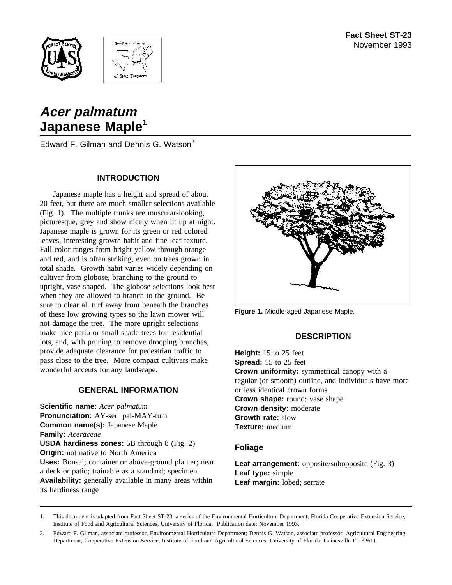



# **Acer palmatum Japanese Maple<sup>1</sup>**

Edward F. Gilman and Dennis G. Watson<sup>2</sup>

## **INTRODUCTION**

Japanese maple has a height and spread of about 20 feet, but there are much smaller selections available (Fig. 1). The multiple trunks are muscular-looking, picturesque, grey and show nicely when lit up at night. Japanese maple is grown for its green or red colored leaves, interesting growth habit and fine leaf texture. Fall color ranges from bright yellow through orange and red, and is often striking, even on trees grown in total shade. Growth habit varies widely depending on cultivar from globose, branching to the ground to upright, vase-shaped. The globose selections look best when they are allowed to branch to the ground. Be sure to clear all turf away from beneath the branches of these low growing types so the lawn mower will not damage the tree. The more upright selections make nice patio or small shade trees for residential lots, and, with pruning to remove drooping branches, provide adequate clearance for pedestrian traffic to pass close to the tree. More compact cultivars make wonderful accents for any landscape.

## **GENERAL INFORMATION**

**Scientific name:** *Acer palmatum* **Pronunciation:** AY-ser pal-MAY-tum **Common name(s):** Japanese Maple **Family:** *Aceraceae* **USDA hardiness zones:** 5B through 8 (Fig. 2) **Origin:** not native to North America **Uses:** Bonsai; container or above-ground planter; near a deck or patio; trainable as a standard; specimen **Availability:** generally available in many areas within its hardiness range



**Figure 1.** Middle-aged Japanese Maple.

# **DESCRIPTION**

**Height:** 15 to 25 feet **Spread:** 15 to 25 feet **Crown uniformity:** symmetrical canopy with a regular (or smooth) outline, and individuals have more or less identical crown forms **Crown shape:** round; vase shape **Crown density:** moderate **Growth rate:** slow **Texture:** medium

## **Foliage**

**Leaf arrangement:** opposite/subopposite (Fig. 3) **Leaf type:** simple **Leaf margin:** lobed; serrate

1. This document is adapted from Fact Sheet ST-23, a series of the Environmental Horticulture Department, Florida Cooperative Extension Service, Institute of Food and Agricultural Sciences, University of Florida. Publication date: November 1993.

<sup>2.</sup> Edward F. Gilman, associate professor, Environmental Horticulture Department; Dennis G. Watson, associate professor, Agricultural Engineering Department, Cooperative Extension Service, Institute of Food and Agricultural Sciences, University of Florida, Gainesville FL 32611.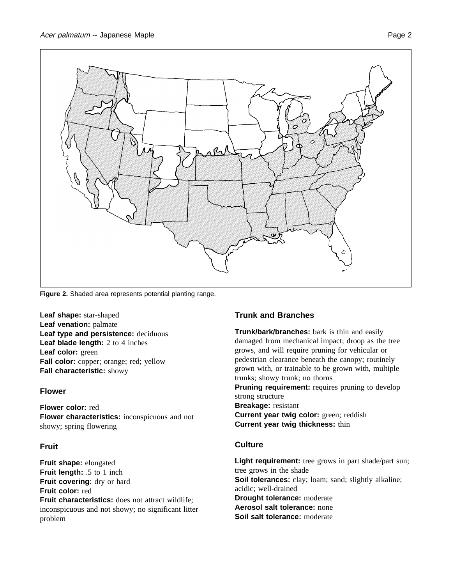

**Figure 2.** Shaded area represents potential planting range.

**Leaf shape:** star-shaped **Leaf venation:** palmate **Leaf type and persistence:** deciduous **Leaf blade length:** 2 to 4 inches **Leaf color:** green Fall color: copper; orange; red; yellow **Fall characteristic:** showy

## **Flower**

**Flower color:** red **Flower characteristics:** inconspicuous and not showy; spring flowering

# **Fruit**

**Fruit shape:** elongated **Fruit length:** .5 to 1 inch **Fruit covering:** dry or hard **Fruit color:** red **Fruit characteristics:** does not attract wildlife; inconspicuous and not showy; no significant litter problem

# **Trunk and Branches**

**Trunk/bark/branches:** bark is thin and easily damaged from mechanical impact; droop as the tree grows, and will require pruning for vehicular or pedestrian clearance beneath the canopy; routinely grown with, or trainable to be grown with, multiple trunks; showy trunk; no thorns **Pruning requirement:** requires pruning to develop strong structure **Breakage:** resistant

**Current year twig color:** green; reddish **Current year twig thickness:** thin

# **Culture**

Light requirement: tree grows in part shade/part sun; tree grows in the shade **Soil tolerances:** clay; loam; sand; slightly alkaline; acidic; well-drained **Drought tolerance:** moderate **Aerosol salt tolerance:** none **Soil salt tolerance:** moderate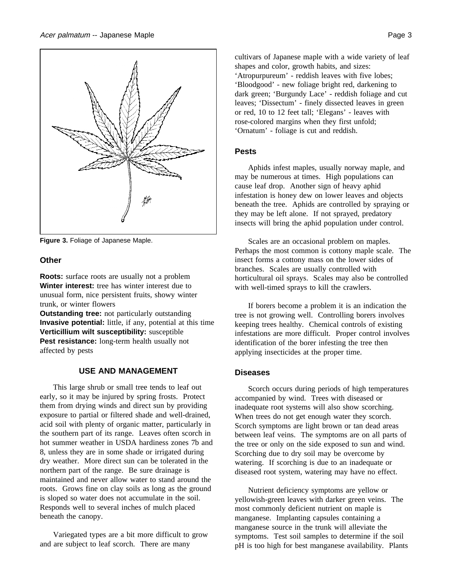

**Figure 3.** Foliage of Japanese Maple.

#### **Other**

**Roots:** surface roots are usually not a problem **Winter interest:** tree has winter interest due to unusual form, nice persistent fruits, showy winter trunk, or winter flowers

**Outstanding tree:** not particularly outstanding **Invasive potential:** little, if any, potential at this time **Verticillium wilt susceptibility:** susceptible **Pest resistance:** long-term health usually not affected by pests

#### **USE AND MANAGEMENT**

This large shrub or small tree tends to leaf out early, so it may be injured by spring frosts. Protect them from drying winds and direct sun by providing exposure to partial or filtered shade and well-drained, acid soil with plenty of organic matter, particularly in the southern part of its range. Leaves often scorch in hot summer weather in USDA hardiness zones 7b and 8, unless they are in some shade or irrigated during dry weather. More direct sun can be tolerated in the northern part of the range. Be sure drainage is maintained and never allow water to stand around the roots. Grows fine on clay soils as long as the ground is sloped so water does not accumulate in the soil. Responds well to several inches of mulch placed beneath the canopy.

Variegated types are a bit more difficult to grow and are subject to leaf scorch. There are many

cultivars of Japanese maple with a wide variety of leaf shapes and color, growth habits, and sizes: 'Atropurpureum' - reddish leaves with five lobes; 'Bloodgood' - new foliage bright red, darkening to dark green; 'Burgundy Lace' - reddish foliage and cut leaves; 'Dissectum' - finely dissected leaves in green or red, 10 to 12 feet tall; 'Elegans' - leaves with rose-colored margins when they first unfold; 'Ornatum' - foliage is cut and reddish.

#### **Pests**

Aphids infest maples, usually norway maple, and may be numerous at times. High populations can cause leaf drop. Another sign of heavy aphid infestation is honey dew on lower leaves and objects beneath the tree. Aphids are controlled by spraying or they may be left alone. If not sprayed, predatory insects will bring the aphid population under control.

Scales are an occasional problem on maples. Perhaps the most common is cottony maple scale. The insect forms a cottony mass on the lower sides of branches. Scales are usually controlled with horticultural oil sprays. Scales may also be controlled with well-timed sprays to kill the crawlers.

If borers become a problem it is an indication the tree is not growing well. Controlling borers involves keeping trees healthy. Chemical controls of existing infestations are more difficult. Proper control involves identification of the borer infesting the tree then applying insecticides at the proper time.

#### **Diseases**

Scorch occurs during periods of high temperatures accompanied by wind. Trees with diseased or inadequate root systems will also show scorching. When trees do not get enough water they scorch. Scorch symptoms are light brown or tan dead areas between leaf veins. The symptoms are on all parts of the tree or only on the side exposed to sun and wind. Scorching due to dry soil may be overcome by watering. If scorching is due to an inadequate or diseased root system, watering may have no effect.

Nutrient deficiency symptoms are yellow or yellowish-green leaves with darker green veins. The most commonly deficient nutrient on maple is manganese. Implanting capsules containing a manganese source in the trunk will alleviate the symptoms. Test soil samples to determine if the soil pH is too high for best manganese availability. Plants